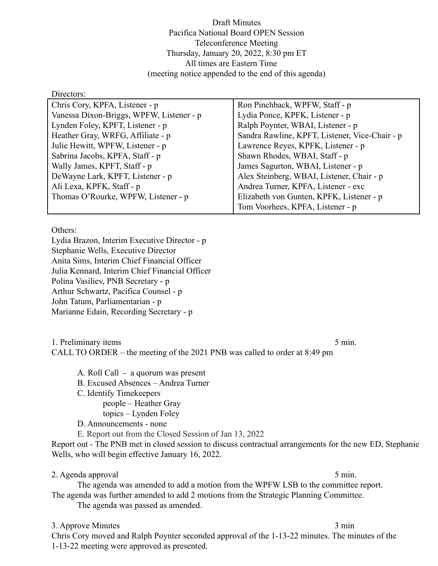Draft Minutes Pacifica National Board OPEN Session Teleconference Meeting Thursday, January 20, 2022, 8:30 pm ET All times are Eastern Time (meeting notice appended to the end of this agenda)

#### Directors:

| Chris Cory, KPFA, Listener - p           | Ron Pinchback, WPFW, Staff - p                 |
|------------------------------------------|------------------------------------------------|
| Vanessa Dixon-Briggs, WPFW, Listener - p | Lydia Ponce, KPFK, Listener - p                |
| Lynden Foley, KPFT, Listener - p         | Ralph Poynter, WBAI, Listener - p              |
| Heather Gray, WRFG, Affiliate - p        | Sandra Rawline, KPFT, Listener, Vice-Chair - p |
| Julie Hewitt, WPFW, Listener - p         | Lawrence Reyes, KPFK, Listener - p             |
| Sabrina Jacobs, KPFA, Staff - p          | Shawn Rhodes, WBAI, Staff - p                  |
| Wally James, KPFT, Staff - p             | James Sagurton, WBAI, Listener - p             |
| DeWayne Lark, KPFT, Listener - p         | Alex Steinberg, WBAI, Listener, Chair - p      |
| Ali Lexa, KPFK, Staff - p                | Andrea Turner, KPFA, Listener - exc            |
| Thomas O'Rourke, WPFW, Listener - p      | Elizabeth von Gunten, KPFK, Listener - p       |
|                                          | Tom Voorhees, KPFA, Listener - p               |

Others:

Lydia Brazon, Interim Executive Director - p Stephanie Wells, Executive Director Anita Sims, Interim Chief Financial Officer Julia Kennard, Interim Chief Financial Officer Polina Vasiliev, PNB Secretary - p Arthur Schwartz, Pacifica Counsel - p John Tatum, Parliamentarian - p Marianne Edain, Recording Secretary - p

# 1. Preliminary items 5 min.

CALL TO ORDER – the meeting of the 2021 PNB was called to order at 8:49 pm

- A. Roll Call a quorum was present
- B. Excused Absences Andrea Turner
- C. Identify Timekeepers
	- people Heather Gray
	- topics Lynden Foley
- D. Announcements none
- E. Report out from the Closed Session of Jan 13, 2022

Report out - The PNB met in closed session to discuss contractual arrangements for the new ED, Stephanie Wells, who will begin effective January 16, 2022.

# 2. Agenda approval 5 min.

The agenda was amended to add a motion from the WPFW LSB to the committee report. The agenda was further amended to add 2 motions from the Strategic Planning Committee.

The agenda was passed as amended.

# 3. Approve Minutes 3 min

Chris Cory moved and Ralph Poynter seconded approval of the 1-13-22 minutes. The minutes of the 1-13-22 meeting were approved as presented.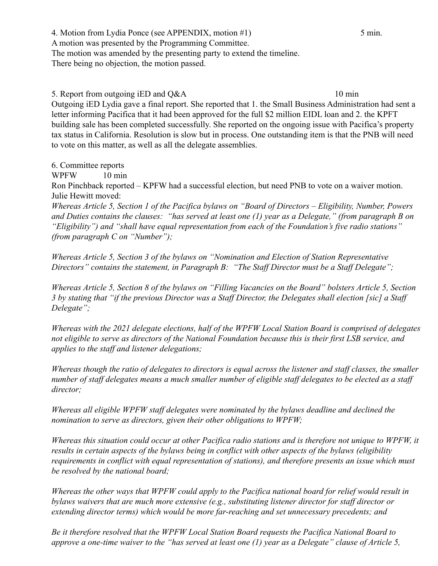4. Motion from Lydia Ponce (see APPENDIX, motion #1) 5 min. A motion was presented by the Programming Committee. The motion was amended by the presenting party to extend the timeline. There being no objection, the motion passed.

5. Report from outgoing iED and Q&A 10 min Outgoing iED Lydia gave a final report. She reported that 1. the Small Business Administration had sent a letter informing Pacifica that it had been approved for the full \$2 million EIDL loan and 2. the KPFT building sale has been completed successfully. She reported on the ongoing issue with Pacifica's property tax status in California. Resolution is slow but in process. One outstanding item is that the PNB will need to vote on this matter, as well as all the delegate assemblies.

6. Committee reports

WPFW 10 min

Ron Pinchback reported – KPFW had a successful election, but need PNB to vote on a waiver motion. Julie Hewitt moved:

*Whereas Article 5, Section 1 of the Pacifica bylaws on "Board of Directors – Eligibility, Number, Powers and Duties contains the clauses: "has served at least one (1) year as a Delegate," (from paragraph B on "Eligibility") and "shall have equal representation from each of the Foundation's five radio stations" (from paragraph C on "Number");*

*Whereas Article 5, Section 3 of the bylaws on "Nomination and Election of Station Representative Directors" contains the statement, in Paragraph B: "The Staff Director must be a Staff Delegate";*

*Whereas Article 5, Section 8 of the bylaws on "Filling Vacancies on the Board" bolsters Article 5, Section 3 by stating that "if the previous Director was a Staff Director, the Delegates shall election [sic] a Staff Delegate";*

*Whereas with the 2021 delegate elections, half of the WPFW Local Station Board is comprised of delegates not eligible to serve as directors of the National Foundation because this is their first LSB service, and applies to the staff and listener delegations;*

*Whereas though the ratio of delegates to directors is equal across the listener and staff classes, the smaller number of staff delegates means a much smaller number of eligible staff delegates to be elected as a staff director;*

*Whereas all eligible WPFW staff delegates were nominated by the bylaws deadline and declined the nomination to serve as directors, given their other obligations to WPFW;*

*Whereas this situation could occur at other Pacifica radio stations and is therefore not unique to WPFW, it results in certain aspects of the bylaws being in conflict with other aspects of the bylaws (eligibility requirements in conflict with equal representation of stations), and therefore presents an issue which must be resolved by the national board;*

*Whereas the other ways that WPFW could apply to the Pacifica national board for relief would result in bylaws waivers that are much more extensive (e.g., substituting listener director for staff director or extending director terms) which would be more far-reaching and set unnecessary precedents; and*

*Be it therefore resolved that the WPFW Local Station Board requests the Pacifica National Board to approve a one-time waiver to the "has served at least one (1) year as a Delegate" clause of Article 5,*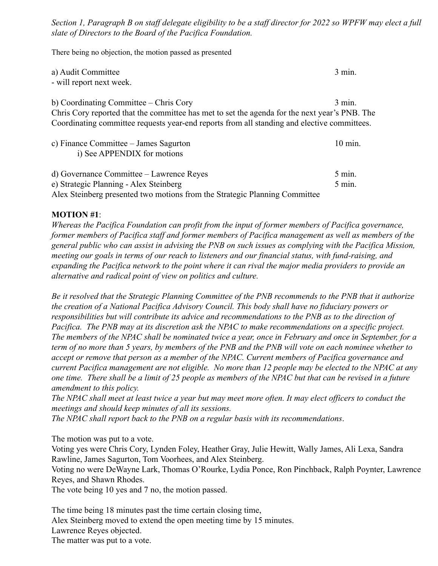*Section 1, Paragraph B on staff delegate eligibility to be a staff director for 2022 so WPFW may elect a full slate of Directors to the Board of the Pacifica Foundation.*

There being no objection, the motion passed as presented

| a) Audit Committee                                                                            | 3 min.             |
|-----------------------------------------------------------------------------------------------|--------------------|
| - will report next week.                                                                      |                    |
|                                                                                               |                    |
| b) Coordinating Committee – Chris Cory                                                        | $3$ min.           |
| Chris Cory reported that the committee has met to set the agenda for the next year's PNB. The |                    |
| Coordinating committee requests year-end reports from all standing and elective committees.   |                    |
|                                                                                               | $10 \text{ min}$ . |
| c) Finance Committee – James Sagurton                                                         |                    |
| i) See APPENDIX for motions                                                                   |                    |
| d) Governance Committee – Lawrence Reyes                                                      | $5 \text{ min}$ .  |
| e) Strategic Planning - Alex Steinberg                                                        | $5$ min.           |
| Alex Steinberg presented two motions from the Strategic Planning Committee                    |                    |
|                                                                                               |                    |

# **MOTION #1**:

*Whereas the Pacifica Foundation can profit from the input of former members of Pacifica governance, former members of Pacifica staff and former members of Pacifica management as well as members of the general public who can assist in advising the PNB on such issues as complying with the Pacifica Mission, meeting our goals in terms of our reach to listeners and our financial status, with fund-raising, and expanding the Pacifica network to the point where it can rival the major media providers to provide an alternative and radical point of view on politics and culture.*

*Be it resolved that the Strategic Planning Committee of the PNB recommends to the PNB that it authorize the creation of a National Pacifica Advisory Council. This body shall have no fiduciary powers or responsibilities but will contribute its advice and recommendations to the PNB as to the direction of Pacifica. The PNB may at its discretion ask the NPAC to make recommendations on a specific project. The members of the NPAC shall be nominated twice a year, once in February and once in September, for a term of no more than 5 years, by members of the PNB and the PNB will vote on each nominee whether to accept or remove that person as a member of the NPAC. Current members of Pacifica governance and current Pacifica management are not eligible. No more than 12 people may be elected to the NPAC at any one time. There shall be a limit of 25 people as members of the NPAC but that can be revised in a future amendment to this policy.* 

*The NPAC shall meet at least twice a year but may meet more often. It may elect officers to conduct the meetings and should keep minutes of all its sessions.*

*The NPAC shall report back to the PNB on a regular basis with its recommendations*.

The motion was put to a vote.

Voting yes were Chris Cory, Lynden Foley, Heather Gray, Julie Hewitt, Wally James, Ali Lexa, Sandra Rawline, James Sagurton, Tom Voorhees, and Alex Steinberg.

Voting no were DeWayne Lark, Thomas O'Rourke, Lydia Ponce, Ron Pinchback, Ralph Poynter, Lawrence Reyes, and Shawn Rhodes.

The vote being 10 yes and 7 no, the motion passed.

The time being 18 minutes past the time certain closing time, Alex Steinberg moved to extend the open meeting time by 15 minutes. Lawrence Reyes objected. The matter was put to a vote.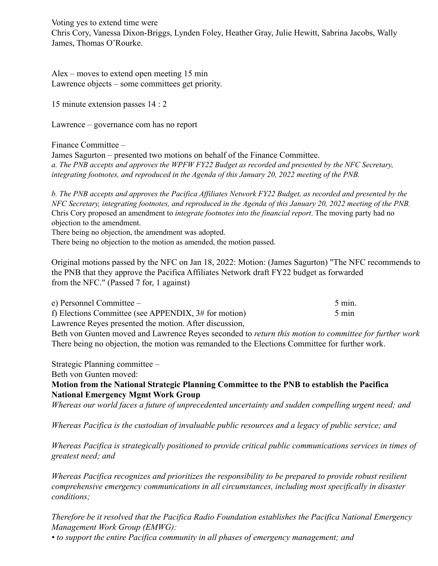Voting yes to extend time were Chris Cory, Vanessa Dixon-Briggs, Lynden Foley, Heather Gray, Julie Hewitt, Sabrina Jacobs, Wally James, Thomas O'Rourke.

Alex – moves to extend open meeting 15 min Lawrence objects – some committees get priority.

15 minute extension passes 14 : 2

Lawrence – governance com has no report

Finance Committee –

James Sagurton – presented two motions on behalf of the Finance Committee. a. The PNB accepts and approves the WPFW FY22 Budget as recorded and presented by the NFC Secretary, *integrating footnotes, and reproduced in the Agenda of this January 20, 2022 meeting of the PNB.*

b. The PNB accepts and approves the Pacifica Affiliates Network FY22 Budget, as recorded and presented by the NFC Secretary, integrating footnotes, and reproduced in the Agenda of this January 20, 2022 meeting of the PNB. Chris Cory proposed an amendment to *integrate footnotes into the financial report*. The moving party had no objection to the amendment.

There being no objection, the amendment was adopted.

There being no objection to the motion as amended, the motion passed.

Original motions passed by the NFC on Jan 18, 2022: Motion: (James Sagurton) "The NFC recommends to the PNB that they approve the Pacifica Affiliates Network draft FY22 budget as forwarded from the NFC." (Passed 7 for, 1 against)

| e) Personnel Committee $-$                             | $5 \text{ min}$ . |
|--------------------------------------------------------|-------------------|
| f) Elections Committee (see APPENDIX, $3#$ for motion) | $5 \text{ min}$   |
| Lawrence Reyes presented the motion. After discussion, |                   |

Beth von Gunten moved and Lawrence Reyes seconded to *return this motion to committee for further work* There being no objection, the motion was remanded to the Elections Committee for further work.

Strategic Planning committee –

Beth von Gunten moved:

# **Motion from the National Strategic Planning Committee to the PNB to establish the Pacifica National Emergency Mgmt Work Group**

*Whereas our world faces a future of unprecedented uncertainty and sudden compelling urgent need; and*

*Whereas Pacifica is the custodian of invaluable public resources and a legacy of public service; and*

*Whereas Pacifica is strategically positioned to provide critical public communications services in times of greatest need; and*

*Whereas Pacifica recognizes and prioritizes the responsibility to be prepared to provide robust resilient comprehensive emergency communications in all circumstances, including most specifically in disaster conditions;*

*Therefore be it resolved that the Pacifica Radio Foundation establishes the Pacifica National Emergency Management Work Group (EMWG):*

*• to support the entire Pacifica community in all phases of emergency management; and*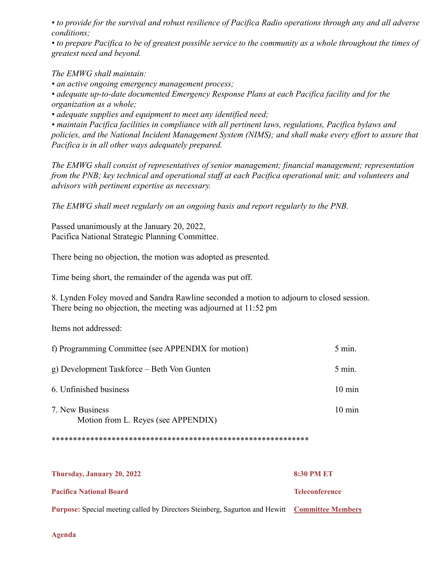*• to provide for the survival and robust resilience of Pacifica Radio operations through any and all adverse conditions;*

*• to prepare Pacifica to be of greatest possible service to the community as a whole throughout the times of greatest need and beyond.*

*The EMWG shall maintain:*

*• an active ongoing emergency management process;*

*• adequate up-to-date documented Emergency Response Plans at each Pacifica facility and for the organization as a whole;*

*• adequate supplies and equipment to meet any identified need;*

*• maintain Pacifica facilities in compliance with all pertinent laws, regulations, Pacifica bylaws and policies, and the National Incident Management System (NIMS); and shall make every effort to assure that Pacifica is in all other ways adequately prepared.*

*The EMWG shall consist of representatives of senior management; financial management; representation from the PNB; key technical and operational staff at each Pacifica operational unit; and volunteers and advisors with pertinent expertise as necessary.*

*The EMWG shall meet regularly on an ongoing basis and report regularly to the PNB.*

Passed unanimously at the January 20, 2022, Pacifica National Strategic Planning Committee.

There being no objection, the motion was adopted as presented.

Time being short, the remainder of the agenda was put off.

8. Lynden Foley moved and Sandra Rawline seconded a motion to adjourn to closed session. There being no objection, the meeting was adjourned at 11:52 pm

Items not addressed:

| f) Programming Committee (see APPENDIX for motion)     | $5 \text{ min.}$  |
|--------------------------------------------------------|-------------------|
| g) Development Taskforce – Beth Von Gunten             | $5 \text{ min}$ . |
| 6. Unfinished business                                 | $10 \text{ min}$  |
| 7. New Business<br>Motion from L. Reyes (see APPENDIX) | $10 \text{ min}$  |

\*\*\*\*\*\*\*\*\*\*\*\*\*\*\*\*\*\*\*\*\*\*\*\*\*\*\*\*\*\*\*\*\*\*\*\*\*\*\*\*\*\*\*\*\*\*\*\*\*\*\*\*\*\*\*\*\*\*\*\*

| Thursday, January 20, 2022                                                                           | <b>8:30 PM ET</b>     |
|------------------------------------------------------------------------------------------------------|-----------------------|
| <b>Pacifica National Board</b>                                                                       | <b>Teleconference</b> |
| <b>Purpose:</b> Special meeting called by Directors Steinberg, Sagurton and Hewitt Committee Members |                       |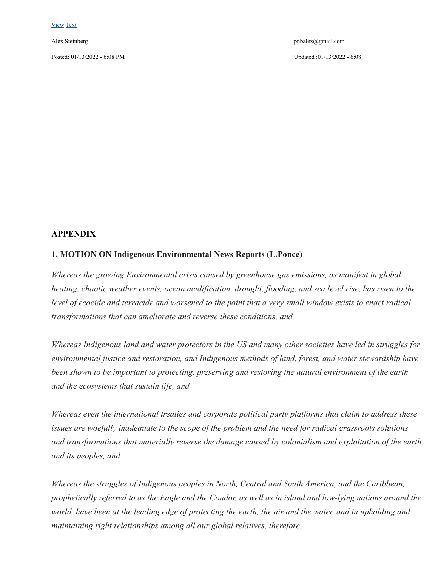Posted: 01/13/2022 - 6:08 PM Updated :01/13/2022 - 6:08

Alex Steinberg pnbalex@gmail.com

### **APPENDIX**

#### **1. MOTION ON Indigenous Environmental News Reports (L.Ponce)**

*Whereas the growing Environmental crisis caused by greenhouse gas emissions, as manifest in global heating, chaotic weather events, ocean acidification, drought, flooding, and sea level rise, has risen to the level of ecocide and terracide and worsened to the point that a very small window exists to enact radical transformations that can ameliorate and reverse these conditions, and*

*Whereas Indigenous land and water protectors in the US and many other societies have led in struggles for environmental justice and restoration, and Indigenous methods of land, forest, and water stewardship have been shown to be important to protecting, preserving and restoring the natural environment of the earth and the ecosystems that sustain life, and*

*Whereas even the international treaties and corporate political party platforms that claim to address these issues are woefully inadequate to the scope of the problem and the need for radical grassroots solutions and transformations that materially reverse the damage caused by colonialism and exploitation of the earth and its peoples, and*

*Whereas the struggles of Indigenous peoples in North, Central and South America, and the Caribbean, prophetically referred to as the Eagle and the Condor, as well as in island and low-lying nations around the world, have been at the leading edge of protecting the earth, the air and the water, and in upholding and maintaining right relationships among all our global relatives, therefore*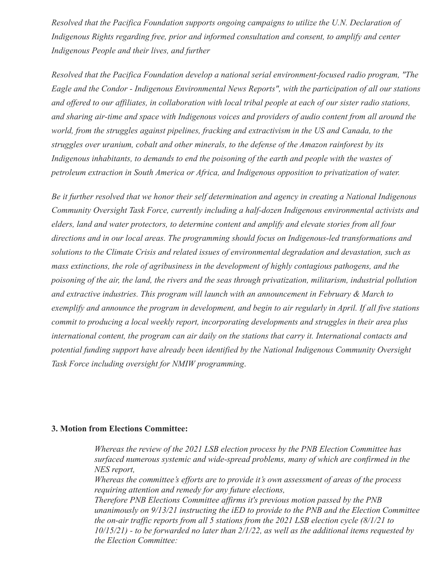*Resolved that the Pacifica Foundation supports ongoing campaigns to utilize the U.N. Declaration of Indigenous Rights regarding free, prior and informed consultation and consent, to amplify and center Indigenous People and their lives, and further*

*Resolved that the Pacifica Foundation develop a national serial environment-focused radio program, "The Eagle and the Condor - Indigenous Environmental News Reports", with the participation of all our stations and offered to our affiliates, in collaboration with local tribal people at each of our sister radio stations, and sharing air-time and space with Indigenous voices and providers of audio content from all around the world, from the struggles against pipelines, fracking and extractivism in the US and Canada, to the struggles over uranium, cobalt and other minerals, to the defense of the Amazon rainforest by its Indigenous inhabitants, to demands to end the poisoning of the earth and people with the wastes of petroleum extraction in South America or Africa, and Indigenous opposition to privatization of water.*

*Be it further resolved that we honor their self determination and agency in creating a National Indigenous Community Oversight Task Force, currently including a half-dozen Indigenous environmental activists and elders, land and water protectors, to determine content and amplify and elevate stories from all four directions and in our local areas. The programming should focus on Indigenous-led transformations and solutions to the Climate Crisis and related issues of environmental degradation and devastation, such as mass extinctions, the role of agribusiness in the development of highly contagious pathogens, and the poisoning of the air, the land, the rivers and the seas through privatization, militarism, industrial pollution and extractive industries. This program will launch with an announcement in February & March to exemplify and announce the program in development, and begin to air regularly in April. If all five stations commit to producing a local weekly report, incorporating developments and struggles in their area plus international content, the program can air daily on the stations that carry it. International contacts and potential funding support have already been identified by the National Indigenous Community Oversight Task Force including oversight for NMIW programming*.

# **3. Motion from Elections Committee:**

*Whereas the review of the 2021 LSB election process by the PNB Election Committee has surfaced numerous systemic and wide-spread problems, many of which are confirmed in the NES report, Whereas the committee's efforts are to provide it's own assessment of areas of the process requiring attention and remedy for any future elections, Therefore PNB Elections Committee affirms it's previous motion passed by the PNB unanimously on 9/13/21 instructing the iED to provide to the PNB and the Election Committee the on-air traffic reports from all 5 stations from the 2021 LSB election cycle (8/1/21 to 10/15/21) - to be forwarded no later than 2/1/22, as well as the additional items requested by the Election Committee:*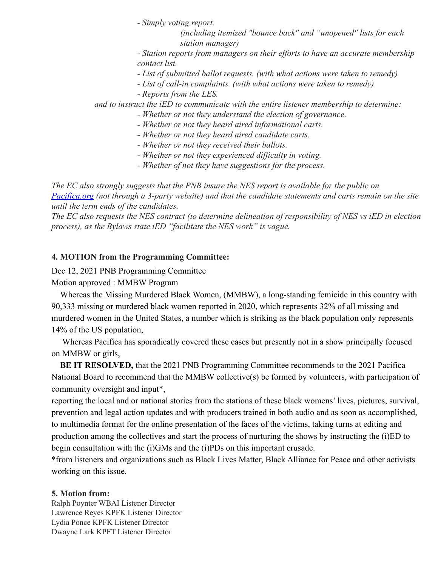*- Simply voting report.*

*(including itemized "bounce back" and "unopened" lists for each station manager)*

*- Station reports from managers on their efforts to have an accurate membership contact list.*

*- List of submitted ballot requests. (with what actions were taken to remedy)*

- *List of call-in complaints. (with what actions were taken to remedy)*
- *Reports from the LES.*

*and to instruct the iED to communicate with the entire listener membership to determine:*

- *Whether or not they understand the election of governance.*
- *Whether or not they heard aired informational carts.*
- *Whether or not they heard aired candidate carts.*
- *Whether or not they received their ballots.*
- *Whether or not they experienced difficulty in voting.*
- *Whether of not they have suggestions for the process.*

*The EC also strongly suggests that the PNB insure the NES report is available for the public on [Pacifica.org](http://pacifica.org/) (not through a 3-party website) and that the candidate statements and carts remain on the site until the term ends of the candidates.*

*The EC also requests the NES contract (to determine delineation of responsibility of NES vs iED in election process), as the Bylaws state iED "facilitate the NES work" is vague.*

# **4. MOTION from the Programming Committee:**

Dec 12, 2021 PNB Programming Committee

# Motion approved : MMBW Program

Whereas the Missing Murdered Black Women, (MMBW), a long-standing femicide in this country with 90,333 missing or murdered black women reported in 2020, which represents 32% of all missing and murdered women in the United States, a number which is striking as the black population only represents 14% of the US population,

Whereas Pacifica has sporadically covered these cases but presently not in a show principally focused on MMBW or girls,

**BE IT RESOLVED,** that the 2021 PNB Programming Committee recommends to the 2021 Pacifica National Board to recommend that the MMBW collective(s) be formed by volunteers, with participation of community oversight and input\*,

reporting the local and or national stories from the stations of these black womens' lives, pictures, survival, prevention and legal action updates and with producers trained in both audio and as soon as accomplished, to multimedia format for the online presentation of the faces of the victims, taking turns at editing and production among the collectives and start the process of nurturing the shows by instructing the (i)ED to begin consultation with the (i)GMs and the (i)PDs on this important crusade.

\*from listeners and organizations such as Black Lives Matter, Black Alliance for Peace and other activists working on this issue.

# **5. Motion from:**

Ralph Poynter WBAI Listener Director Lawrence Reyes KPFK Listener Director Lydia Ponce KPFK Listener Director Dwayne Lark KPFT Listener Director